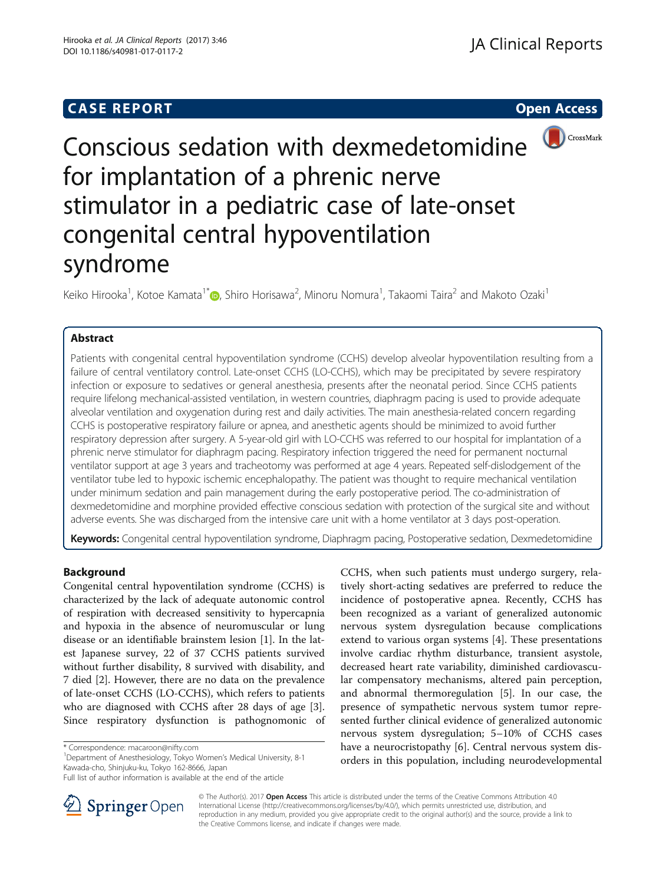## **CASE REPORT CASE REPORT**



# Conscious sedation with dexmedetomidine for implantation of a phrenic nerve stimulator in a pediatric case of late-onset congenital central hypoventilation syndrome

Keiko Hirooka<sup>1</sup>, Kotoe Kamata<sup>1\*</sup>�, Shiro Horisawa<sup>2</sup>, Minoru Nomura<sup>1</sup>, Takaomi Taira<sup>2</sup> and Makoto Ozaki<sup>1</sup>

## Abstract

Patients with congenital central hypoventilation syndrome (CCHS) develop alveolar hypoventilation resulting from a failure of central ventilatory control. Late-onset CCHS (LO-CCHS), which may be precipitated by severe respiratory infection or exposure to sedatives or general anesthesia, presents after the neonatal period. Since CCHS patients require lifelong mechanical-assisted ventilation, in western countries, diaphragm pacing is used to provide adequate alveolar ventilation and oxygenation during rest and daily activities. The main anesthesia-related concern regarding CCHS is postoperative respiratory failure or apnea, and anesthetic agents should be minimized to avoid further respiratory depression after surgery. A 5-year-old girl with LO-CCHS was referred to our hospital for implantation of a phrenic nerve stimulator for diaphragm pacing. Respiratory infection triggered the need for permanent nocturnal ventilator support at age 3 years and tracheotomy was performed at age 4 years. Repeated self-dislodgement of the ventilator tube led to hypoxic ischemic encephalopathy. The patient was thought to require mechanical ventilation under minimum sedation and pain management during the early postoperative period. The co-administration of dexmedetomidine and morphine provided effective conscious sedation with protection of the surgical site and without adverse events. She was discharged from the intensive care unit with a home ventilator at 3 days post-operation.

Keywords: Congenital central hypoventilation syndrome, Diaphragm pacing, Postoperative sedation, Dexmedetomidine

## Background

Congenital central hypoventilation syndrome (CCHS) is characterized by the lack of adequate autonomic control of respiration with decreased sensitivity to hypercapnia and hypoxia in the absence of neuromuscular or lung disease or an identifiable brainstem lesion [[1\]](#page-4-0). In the latest Japanese survey, 22 of 37 CCHS patients survived without further disability, 8 survived with disability, and 7 died [[2](#page-4-0)]. However, there are no data on the prevalence of late-onset CCHS (LO-CCHS), which refers to patients who are diagnosed with CCHS after 28 days of age [\[3](#page-4-0)]. Since respiratory dysfunction is pathognomonic of

Department of Anesthesiology, Tokyo Women's Medical University, 8-1 Kawada-cho, Shinjuku-ku, Tokyo 162-8666, Japan

CCHS, when such patients must undergo surgery, relatively short-acting sedatives are preferred to reduce the incidence of postoperative apnea. Recently, CCHS has been recognized as a variant of generalized autonomic nervous system dysregulation because complications extend to various organ systems [\[4](#page-4-0)]. These presentations involve cardiac rhythm disturbance, transient asystole, decreased heart rate variability, diminished cardiovascular compensatory mechanisms, altered pain perception, and abnormal thermoregulation [\[5](#page-4-0)]. In our case, the presence of sympathetic nervous system tumor represented further clinical evidence of generalized autonomic nervous system dysregulation; 5–10% of CCHS cases have a neurocristopathy [[6\]](#page-4-0). Central nervous system disorders in this population, including neurodevelopmental



© The Author(s). 2017 Open Access This article is distributed under the terms of the Creative Commons Attribution 4.0 International License ([http://creativecommons.org/licenses/by/4.0/\)](http://creativecommons.org/licenses/by/4.0/), which permits unrestricted use, distribution, and reproduction in any medium, provided you give appropriate credit to the original author(s) and the source, provide a link to the Creative Commons license, and indicate if changes were made.

<sup>\*</sup> Correspondence: [macaroon@nifty.com](mailto:macaroon@nifty.com) <sup>1</sup>

Full list of author information is available at the end of the article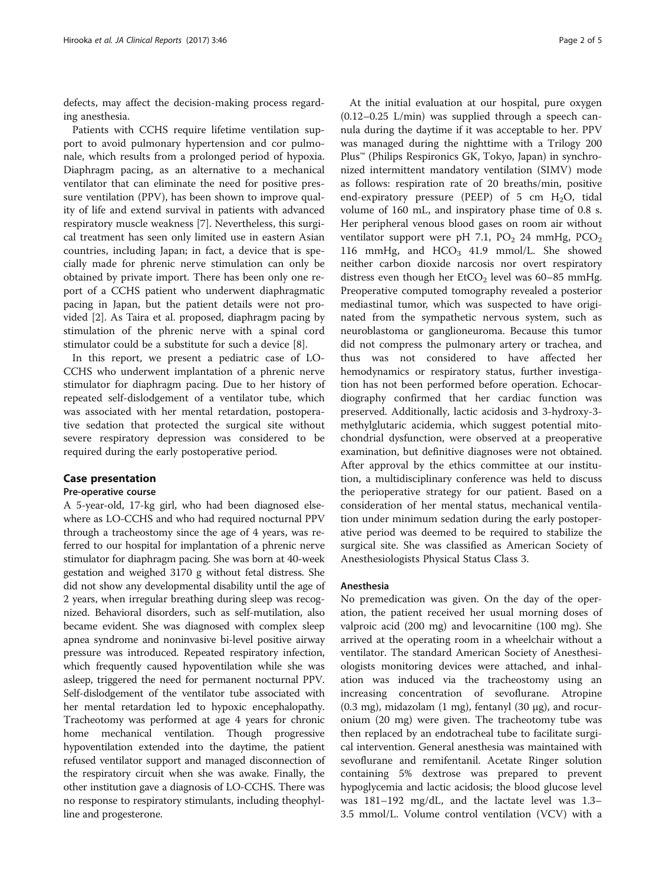defects, may affect the decision-making process regarding anesthesia.

Patients with CCHS require lifetime ventilation support to avoid pulmonary hypertension and cor pulmonale, which results from a prolonged period of hypoxia. Diaphragm pacing, as an alternative to a mechanical ventilator that can eliminate the need for positive pressure ventilation (PPV), has been shown to improve quality of life and extend survival in patients with advanced respiratory muscle weakness [\[7\]](#page-4-0). Nevertheless, this surgical treatment has seen only limited use in eastern Asian countries, including Japan; in fact, a device that is specially made for phrenic nerve stimulation can only be obtained by private import. There has been only one report of a CCHS patient who underwent diaphragmatic pacing in Japan, but the patient details were not provided [\[2](#page-4-0)]. As Taira et al. proposed, diaphragm pacing by stimulation of the phrenic nerve with a spinal cord stimulator could be a substitute for such a device [\[8\]](#page-4-0).

In this report, we present a pediatric case of LO-CCHS who underwent implantation of a phrenic nerve stimulator for diaphragm pacing. Due to her history of repeated self-dislodgement of a ventilator tube, which was associated with her mental retardation, postoperative sedation that protected the surgical site without severe respiratory depression was considered to be required during the early postoperative period.

### Case presentation

#### Pre-operative course

A 5-year-old, 17-kg girl, who had been diagnosed elsewhere as LO-CCHS and who had required nocturnal PPV through a tracheostomy since the age of 4 years, was referred to our hospital for implantation of a phrenic nerve stimulator for diaphragm pacing. She was born at 40-week gestation and weighed 3170 g without fetal distress. She did not show any developmental disability until the age of 2 years, when irregular breathing during sleep was recognized. Behavioral disorders, such as self-mutilation, also became evident. She was diagnosed with complex sleep apnea syndrome and noninvasive bi-level positive airway pressure was introduced. Repeated respiratory infection, which frequently caused hypoventilation while she was asleep, triggered the need for permanent nocturnal PPV. Self-dislodgement of the ventilator tube associated with her mental retardation led to hypoxic encephalopathy. Tracheotomy was performed at age 4 years for chronic home mechanical ventilation. Though progressive hypoventilation extended into the daytime, the patient refused ventilator support and managed disconnection of the respiratory circuit when she was awake. Finally, the other institution gave a diagnosis of LO-CCHS. There was no response to respiratory stimulants, including theophylline and progesterone.

At the initial evaluation at our hospital, pure oxygen  $(0.12-0.25)$  L/min) was supplied through a speech cannula during the daytime if it was acceptable to her. PPV was managed during the nighttime with a Trilogy 200 Plus™ (Philips Respironics GK, Tokyo, Japan) in synchronized intermittent mandatory ventilation (SIMV) mode as follows: respiration rate of 20 breaths/min, positive end-expiratory pressure (PEEP) of 5 cm  $H_2O$ , tidal volume of 160 mL, and inspiratory phase time of 0.8 s. Her peripheral venous blood gases on room air without ventilator support were pH 7.1,  $PO_2$  24 mmHg,  $PCO_2$ 116 mmHg, and  $HCO<sub>3</sub>$  41.9 mmol/L. She showed neither carbon dioxide narcosis nor overt respiratory distress even though her  $ECO<sub>2</sub>$  level was 60–85 mmHg. Preoperative computed tomography revealed a posterior mediastinal tumor, which was suspected to have originated from the sympathetic nervous system, such as neuroblastoma or ganglioneuroma. Because this tumor did not compress the pulmonary artery or trachea, and thus was not considered to have affected her hemodynamics or respiratory status, further investigation has not been performed before operation. Echocardiography confirmed that her cardiac function was preserved. Additionally, lactic acidosis and 3-hydroxy-3 methylglutaric acidemia, which suggest potential mitochondrial dysfunction, were observed at a preoperative examination, but definitive diagnoses were not obtained. After approval by the ethics committee at our institution, a multidisciplinary conference was held to discuss the perioperative strategy for our patient. Based on a consideration of her mental status, mechanical ventilation under minimum sedation during the early postoperative period was deemed to be required to stabilize the surgical site. She was classified as American Society of Anesthesiologists Physical Status Class 3.

#### Anesthesia

No premedication was given. On the day of the operation, the patient received her usual morning doses of valproic acid (200 mg) and levocarnitine (100 mg). She arrived at the operating room in a wheelchair without a ventilator. The standard American Society of Anesthesiologists monitoring devices were attached, and inhalation was induced via the tracheostomy using an increasing concentration of sevoflurane. Atropine  $(0.3 \text{ mg})$ , midazolam  $(1 \text{ mg})$ , fentanyl  $(30 \text{ µg})$ , and rocuronium (20 mg) were given. The tracheotomy tube was then replaced by an endotracheal tube to facilitate surgical intervention. General anesthesia was maintained with sevoflurane and remifentanil. Acetate Ringer solution containing 5% dextrose was prepared to prevent hypoglycemia and lactic acidosis; the blood glucose level was 181–192 mg/dL, and the lactate level was 1.3– 3.5 mmol/L. Volume control ventilation (VCV) with a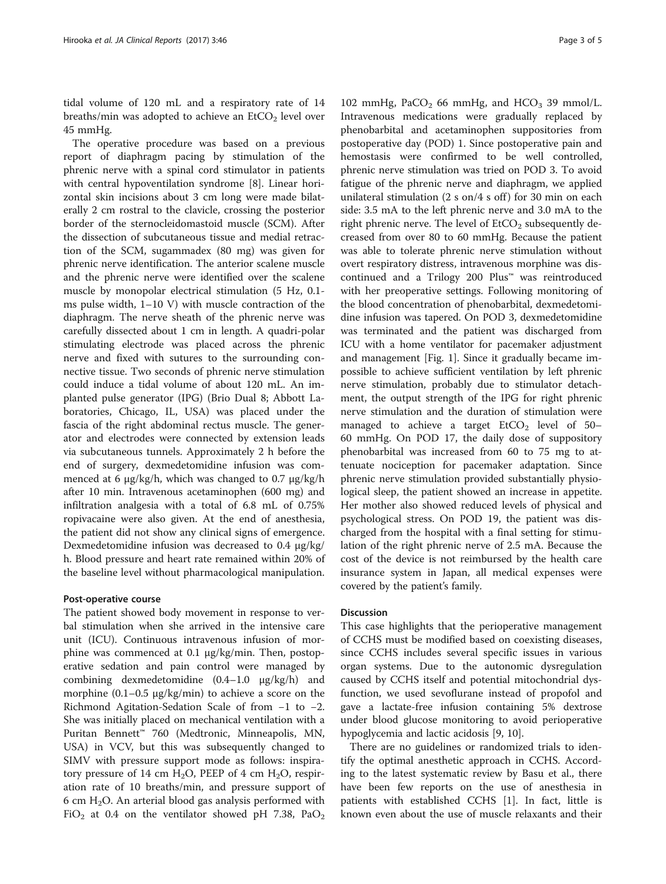tidal volume of 120 mL and a respiratory rate of 14 breaths/min was adopted to achieve an  $EtCO<sub>2</sub>$  level over 45 mmHg.

The operative procedure was based on a previous report of diaphragm pacing by stimulation of the phrenic nerve with a spinal cord stimulator in patients with central hypoventilation syndrome [[8\]](#page-4-0). Linear horizontal skin incisions about 3 cm long were made bilaterally 2 cm rostral to the clavicle, crossing the posterior border of the sternocleidomastoid muscle (SCM). After the dissection of subcutaneous tissue and medial retraction of the SCM, sugammadex (80 mg) was given for phrenic nerve identification. The anterior scalene muscle and the phrenic nerve were identified over the scalene muscle by monopolar electrical stimulation (5 Hz, 0.1 ms pulse width, 1–10 V) with muscle contraction of the diaphragm. The nerve sheath of the phrenic nerve was carefully dissected about 1 cm in length. A quadri-polar stimulating electrode was placed across the phrenic nerve and fixed with sutures to the surrounding connective tissue. Two seconds of phrenic nerve stimulation could induce a tidal volume of about 120 mL. An implanted pulse generator (IPG) (Brio Dual 8; Abbott Laboratories, Chicago, IL, USA) was placed under the fascia of the right abdominal rectus muscle. The generator and electrodes were connected by extension leads via subcutaneous tunnels. Approximately 2 h before the end of surgery, dexmedetomidine infusion was commenced at 6 μg/kg/h, which was changed to 0.7 μg/kg/h after 10 min. Intravenous acetaminophen (600 mg) and infiltration analgesia with a total of 6.8 mL of 0.75% ropivacaine were also given. At the end of anesthesia, the patient did not show any clinical signs of emergence. Dexmedetomidine infusion was decreased to 0.4 μg/kg/ h. Blood pressure and heart rate remained within 20% of the baseline level without pharmacological manipulation.

#### Post-operative course

The patient showed body movement in response to verbal stimulation when she arrived in the intensive care unit (ICU). Continuous intravenous infusion of morphine was commenced at 0.1 μg/kg/min. Then, postoperative sedation and pain control were managed by combining dexmedetomidine (0.4–1.0 μg/kg/h) and morphine (0.1–0.5 μg/kg/min) to achieve a score on the Richmond Agitation-Sedation Scale of from −1 to −2. She was initially placed on mechanical ventilation with a Puritan Bennett™ 760 (Medtronic, Minneapolis, MN, USA) in VCV, but this was subsequently changed to SIMV with pressure support mode as follows: inspiratory pressure of 14 cm  $H_2O$ , PEEP of 4 cm  $H_2O$ , respiration rate of 10 breaths/min, and pressure support of 6 cm  $H_2O$ . An arterial blood gas analysis performed with FiO<sub>2</sub> at 0.4 on the ventilator showed pH 7.38, PaO<sub>2</sub>

102 mmHg,  $PaCO<sub>2</sub>$  66 mmHg, and  $HCO<sub>3</sub>$  39 mmol/L. Intravenous medications were gradually replaced by phenobarbital and acetaminophen suppositories from postoperative day (POD) 1. Since postoperative pain and hemostasis were confirmed to be well controlled, phrenic nerve stimulation was tried on POD 3. To avoid fatigue of the phrenic nerve and diaphragm, we applied unilateral stimulation  $(2 \text{ s on/4 s off})$  for 30 min on each side: 3.5 mA to the left phrenic nerve and 3.0 mA to the right phrenic nerve. The level of  $ECO<sub>2</sub>$  subsequently decreased from over 80 to 60 mmHg. Because the patient was able to tolerate phrenic nerve stimulation without overt respiratory distress, intravenous morphine was discontinued and a Trilogy 200 Plus™ was reintroduced with her preoperative settings. Following monitoring of the blood concentration of phenobarbital, dexmedetomidine infusion was tapered. On POD 3, dexmedetomidine was terminated and the patient was discharged from ICU with a home ventilator for pacemaker adjustment and management [Fig. [1\]](#page-3-0). Since it gradually became impossible to achieve sufficient ventilation by left phrenic nerve stimulation, probably due to stimulator detachment, the output strength of the IPG for right phrenic nerve stimulation and the duration of stimulation were managed to achieve a target  $ECO<sub>2</sub>$  level of 50– 60 mmHg. On POD 17, the daily dose of suppository phenobarbital was increased from 60 to 75 mg to attenuate nociception for pacemaker adaptation. Since phrenic nerve stimulation provided substantially physiological sleep, the patient showed an increase in appetite. Her mother also showed reduced levels of physical and psychological stress. On POD 19, the patient was discharged from the hospital with a final setting for stimulation of the right phrenic nerve of 2.5 mA. Because the cost of the device is not reimbursed by the health care insurance system in Japan, all medical expenses were covered by the patient's family.

#### Discussion

This case highlights that the perioperative management of CCHS must be modified based on coexisting diseases, since CCHS includes several specific issues in various organ systems. Due to the autonomic dysregulation caused by CCHS itself and potential mitochondrial dysfunction, we used sevoflurane instead of propofol and gave a lactate-free infusion containing 5% dextrose under blood glucose monitoring to avoid perioperative hypoglycemia and lactic acidosis [[9](#page-4-0), [10](#page-4-0)].

There are no guidelines or randomized trials to identify the optimal anesthetic approach in CCHS. According to the latest systematic review by Basu et al., there have been few reports on the use of anesthesia in patients with established CCHS [\[1](#page-4-0)]. In fact, little is known even about the use of muscle relaxants and their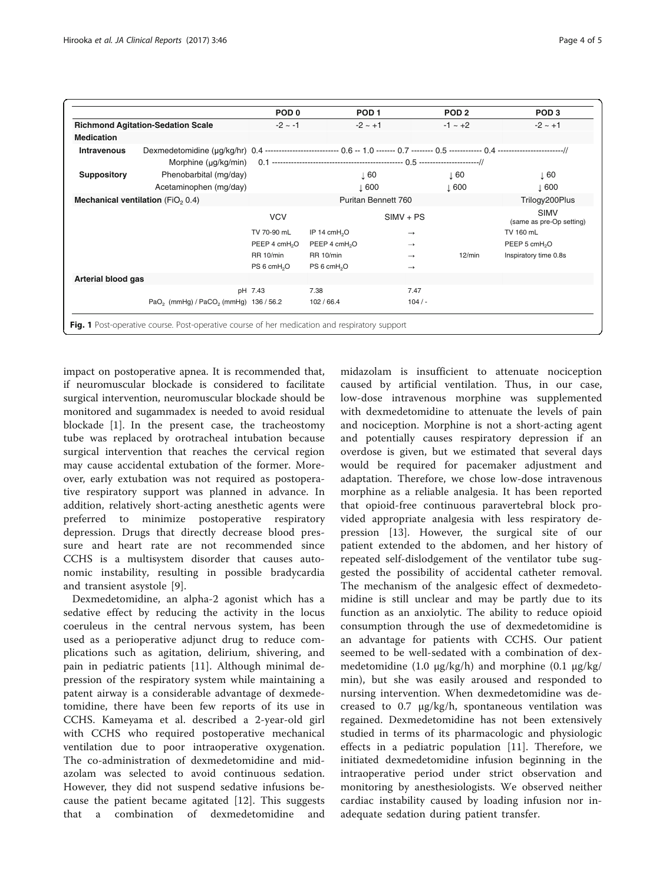<span id="page-3-0"></span>

|                                               |                                                                                                                                         | POD <sub>0</sub>          |                           | POD <sub>1</sub> | POD <sub>2</sub> | POD <sub>3</sub>                        |
|-----------------------------------------------|-----------------------------------------------------------------------------------------------------------------------------------------|---------------------------|---------------------------|------------------|------------------|-----------------------------------------|
| <b>Richmond Agitation-Sedation Scale</b>      |                                                                                                                                         | $-2 \sim -1$              |                           | $-2 \sim +1$     | $-1 \sim +2$     | $-2 \sim +1$                            |
| Medication                                    |                                                                                                                                         |                           |                           |                  |                  |                                         |
| <b>Intravenous</b>                            | Dexmedetomidine (µg/kg/hr) 0.4 --------------------------- 0.6 -- 1.0 ------- 0.7 -------- 0.5 ------------- 0.4 --------------------// |                           |                           |                  |                  |                                         |
|                                               | Morphine (µg/kg/min)                                                                                                                    |                           |                           |                  |                  |                                         |
| <b>Suppository</b>                            | Phenobarbital (mg/day)                                                                                                                  |                           |                           | $\perp$ 60       | ↓60              | $\perp$ 60                              |
|                                               | Acetaminophen (mg/day)                                                                                                                  |                           |                           | $\perp 600$      | $\downarrow$ 600 | $\downarrow$ 600                        |
| Mechanical ventilation (FiO <sub>2</sub> 0.4) |                                                                                                                                         |                           | Puritan Bennett 760       |                  | Trilogy200Plus   |                                         |
|                                               |                                                                                                                                         | <b>VCV</b>                |                           | $SIMV + PS$      |                  | <b>SIMV</b><br>(same as pre-Op setting) |
|                                               |                                                                                                                                         | TV 70-90 mL               | IP 14 cmH <sub>2</sub> O  | $\rightarrow$    |                  | TV 160 mL                               |
|                                               |                                                                                                                                         | PEEP 4 cmH <sub>2</sub> O | PEEP 4 cmH <sub>2</sub> O | $\rightarrow$    |                  | PEEP 5 cmH <sub>2</sub> O               |
|                                               |                                                                                                                                         | <b>RR 10/min</b>          | <b>RR 10/min</b>          | $\rightarrow$    | 12/min           | Inspiratory time 0.8s                   |
|                                               |                                                                                                                                         | PS 6 cmH <sub>2</sub> O   | PS 6 cmH <sub>2</sub> O   | $\rightarrow$    |                  |                                         |
| Arterial blood gas                            |                                                                                                                                         |                           |                           |                  |                  |                                         |
|                                               |                                                                                                                                         | pH 7.43                   | 7.38                      | 7.47             |                  |                                         |
|                                               | PaO <sub>2</sub> (mmHg) / PaCO <sub>2</sub> (mmHg) 136 / 56.2                                                                           |                           | 102/66.4                  | 104/             |                  |                                         |

impact on postoperative apnea. It is recommended that, if neuromuscular blockade is considered to facilitate surgical intervention, neuromuscular blockade should be monitored and sugammadex is needed to avoid residual blockade [\[1](#page-4-0)]. In the present case, the tracheostomy tube was replaced by orotracheal intubation because surgical intervention that reaches the cervical region may cause accidental extubation of the former. Moreover, early extubation was not required as postoperative respiratory support was planned in advance. In addition, relatively short-acting anesthetic agents were preferred to minimize postoperative respiratory depression. Drugs that directly decrease blood pressure and heart rate are not recommended since CCHS is a multisystem disorder that causes autonomic instability, resulting in possible bradycardia and transient asystole [\[9](#page-4-0)].

Dexmedetomidine, an alpha-2 agonist which has a sedative effect by reducing the activity in the locus coeruleus in the central nervous system, has been used as a perioperative adjunct drug to reduce complications such as agitation, delirium, shivering, and pain in pediatric patients [[11](#page-4-0)]. Although minimal depression of the respiratory system while maintaining a patent airway is a considerable advantage of dexmedetomidine, there have been few reports of its use in CCHS. Kameyama et al. described a 2-year-old girl with CCHS who required postoperative mechanical ventilation due to poor intraoperative oxygenation. The co-administration of dexmedetomidine and midazolam was selected to avoid continuous sedation. However, they did not suspend sedative infusions because the patient became agitated [[12\]](#page-4-0). This suggests that a combination of dexmedetomidine and

midazolam is insufficient to attenuate nociception caused by artificial ventilation. Thus, in our case, low-dose intravenous morphine was supplemented with dexmedetomidine to attenuate the levels of pain and nociception. Morphine is not a short-acting agent and potentially causes respiratory depression if an overdose is given, but we estimated that several days would be required for pacemaker adjustment and adaptation. Therefore, we chose low-dose intravenous morphine as a reliable analgesia. It has been reported that opioid-free continuous paravertebral block provided appropriate analgesia with less respiratory depression [\[13](#page-4-0)]. However, the surgical site of our patient extended to the abdomen, and her history of repeated self-dislodgement of the ventilator tube suggested the possibility of accidental catheter removal. The mechanism of the analgesic effect of dexmedetomidine is still unclear and may be partly due to its function as an anxiolytic. The ability to reduce opioid consumption through the use of dexmedetomidine is an advantage for patients with CCHS. Our patient seemed to be well-sedated with a combination of dexmedetomidine (1.0 μg/kg/h) and morphine (0.1 μg/kg/ min), but she was easily aroused and responded to nursing intervention. When dexmedetomidine was decreased to 0.7 μg/kg/h, spontaneous ventilation was regained. Dexmedetomidine has not been extensively studied in terms of its pharmacologic and physiologic effects in a pediatric population [[11](#page-4-0)]. Therefore, we initiated dexmedetomidine infusion beginning in the intraoperative period under strict observation and monitoring by anesthesiologists. We observed neither cardiac instability caused by loading infusion nor inadequate sedation during patient transfer.